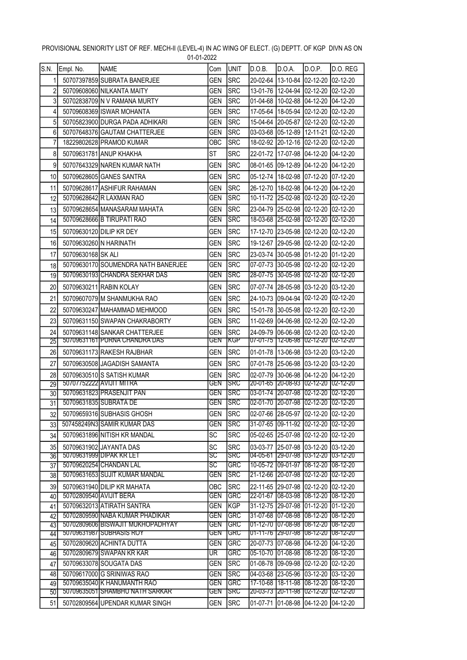|                       |                    | <u>U I-U I-ZUZZ</u>                                       |                          |                          |                   |                                                                            |              |                                 |
|-----------------------|--------------------|-----------------------------------------------------------|--------------------------|--------------------------|-------------------|----------------------------------------------------------------------------|--------------|---------------------------------|
| S.N.                  | Empl. No.          | <b>NAME</b>                                               | Com                      | <b>UNIT</b>              | D.O.B.            | D.O.A.                                                                     | D.O.P.       | D.O. REG                        |
| 1                     |                    | 50707397859 SUBRATA BANERJEE                              | <b>GEN</b>               | <b>SRC</b>               |                   | 20-02-64 13-10-84 02-12-20                                                 |              | $102 - 12 - 20$                 |
| 2                     |                    | 50709608060 NILKANTA MAITY                                | GEN                      | <b>SRC</b>               |                   | 13-01-76 12-04-94 02-12-20 02-12-20                                        |              |                                 |
| 3                     |                    | 50702838709 N V RAMANA MURTY                              | GEN                      | <b>SRC</b>               |                   | 01-04-68 10-02-88 04-12-20 04-12-20                                        |              |                                 |
| 4                     |                    | 50709608369 ISWAR MOHANTA                                 | <b>GEN</b>               | <b>SRC</b>               |                   | 17-05-64 18-05-94 02-12-20                                                 |              | $ 02 - 12 - 20$                 |
| 5                     |                    | 50705823900 DURGA PADA ADHIKARI                           | <b>GEN</b>               | <b>SRC</b>               | 15-04-64 20-05-87 |                                                                            | 02-12-20     | 02-12-20                        |
| 6                     |                    | 50707648376 GAUTAM CHATTERJEE                             | GEN                      | <b>SRC</b>               |                   | 03-03-68 05-12-89 12-11-21                                                 |              | $[02-12-20]$                    |
| 7                     |                    | 18229802628 PRAMOD KUMAR                                  | OBC                      | <b>SRC</b>               |                   | 18-02-92 20-12-16 02-12-20 02-12-20                                        |              |                                 |
| 8                     |                    | 50709631781 ANUP KHAKHA                                   | IST                      | <b>SRC</b>               |                   | 22-01-72 17-07-98 04-12-20                                                 |              | $104 - 12 - 20$                 |
| 9                     |                    | 50707643329 NAREN KUMAR NATH                              | <b>GEN</b>               | <b>SRC</b>               |                   | 08-01-65 09-12-89 04-12-20                                                 |              | $104 - 12 - 20$                 |
| 10                    |                    | 50709628605 GANES SANTRA                                  | <b>GEN</b>               | <b>SRC</b>               |                   | 05-12-74 18-02-98 07-12-20                                                 |              | $107 - 12 - 20$                 |
| 11                    |                    | 50709628617 ASHIFUR RAHAMAN                               | <b>GEN</b>               | <b>SRC</b>               |                   | 26-12-70 18-02-98 04-12-20 04-12-20                                        |              |                                 |
| 12                    |                    | 50709628642 R LAXMAN RAO                                  | GEN                      | <b>SRC</b>               |                   | 10-11-72 25-02-98 02-12-20                                                 |              | $[02-12-20]$                    |
| 13                    |                    | 50709628654 MANASARAM MAHATA                              | GEN                      | <b>SRC</b>               |                   | 23-04-79 25-02-98 02-12-20                                                 |              | $102 - 12 - 20$                 |
| 14                    |                    | 50709628666 B TIRUPATI RAO                                | <b>GEN</b>               | <b>SRC</b>               | 18-03-68          | 25-02-98                                                                   | $[02-12-20]$ | 02-12-20                        |
| 15                    |                    | 50709630120 DILIP KR DEY                                  | <b>GEN</b>               | <b>SRC</b>               |                   | 17-12-70 23-05-98 02-12-20 02-12-20                                        |              |                                 |
| 16                    |                    | 50709630260 N HARINATH                                    | gen                      | <b>SRC</b>               |                   | 19-12-67 29-05-98 02-12-20                                                 |              | $102 - 12 - 20$                 |
| 17                    | 50709630168 SK ALI |                                                           | <b>GEN</b>               | <b>SRC</b>               |                   | 23-03-74 30-05-98 01-12-20 01-12-20                                        |              |                                 |
|                       |                    | 50709630170 SOUMENDRA NATH BANERJEE                       | <b>GEN</b>               | <b>SRC</b>               |                   | 07-07-73 30-05-98 02-12-20 02-12-20                                        |              |                                 |
| 18<br>19              |                    | 50709630193 CHANDRA SEKHAR DAS                            | GEN                      | <b>SRC</b>               | 28-07-75          | 30-05-98 02-12-20 02-12-20                                                 |              |                                 |
|                       |                    |                                                           |                          |                          |                   |                                                                            |              |                                 |
| 20                    |                    | 50709630211 RABIN KOLAY                                   | <b>GEN</b>               | <b>SRC</b>               |                   | 07-07-74 28-05-98 03-12-20 03-12-20                                        |              |                                 |
| 21                    |                    | 50709607079 M SHANMUKHA RAO                               | GEN                      | <b>SRC</b>               |                   | 24-10-73 09-04-94 02-12-20 02-12-20                                        |              |                                 |
| 22                    |                    | 50709630247 MAHAMMAD MEHMOOD                              | <b>GEN</b>               | <b>SRC</b>               |                   | 15-01-78 30-05-98 02-12-20                                                 |              | $102 - 12 - 20$                 |
| 23                    |                    | 50709631150 SWAPAN CHAKRABORTY                            | GEN                      | <b>SRC</b>               |                   | 11-02-69 04-06-98 02-12-20 02-12-20                                        |              |                                 |
| 24                    |                    | 50709631148 SANKAR CHATTERJEE                             | <b>GEN</b>               | <b>SRC</b>               |                   | 24-09-79 06-06-98 02-12-20                                                 |              | $102 - 12 - 20$                 |
| 25                    |                    | 50709631161IPURNA CHANDRA DAS                             | GEN                      | KGP                      | 07-01-75          | 112-06-98 102-12-20 102-12-20                                              |              |                                 |
| 26                    |                    | 50709631173 RAKESH RAJBHAR                                | GEN                      | <b>SRC</b>               |                   | 01-01-78 13-06-98 03-12-20 03-12-20                                        |              |                                 |
| 27                    |                    | 50709630508 JAGADISH SAMANTA                              | <b>GEN</b>               | <b>SRC</b>               |                   | 07-01-78 25-06-98 03-12-20 03-12-20                                        |              |                                 |
| 28                    |                    | 50709630510 S SATISH KUMAR                                | <b>GEN</b>               | <b>SRC</b>               |                   | 02-07-79 30-06-98 04-12-20                                                 |              | $[04-12-20]$                    |
| 29                    |                    | 507077522221AVIJIT MITRA<br>50709631823 PRASENJIT PAN     | GEN<br>GEN               | <b>SRC</b><br><b>SRC</b> |                   | 20-01-65  20-08-93  02-12-20  02-12-20                                     |              |                                 |
| 30<br>$\overline{31}$ |                    | 50709631835 SUBRATA DE                                    | GEN                      | <b>SRC</b>               |                   | 03-01-74 20-07-98 02-12-20<br>02-01-70 20-07-98 02-12-20                   |              | $[02-12-20]$<br>$102 - 12 - 20$ |
|                       |                    | 50709659316 SUBHASIS GHOSH                                | GEN                      | <b>SRC</b>               |                   | 02-07-66 28-05-97 02-12-20 02-12-20                                        |              |                                 |
| 32<br>33              |                    | 507458249N3 SAMIR KUMAR DAS                               | <b>GEN</b>               | <b>SRC</b>               |                   | 31-07-65 09-11-92 02-12-20 02-12-20                                        |              |                                 |
|                       |                    | 50709631896 NITISH KR MANDAL                              | SC                       | <b>SRC</b>               |                   | 05-02-65 25-07-98 02-12-20 02-12-20                                        |              |                                 |
| 34                    |                    |                                                           |                          |                          |                   |                                                                            |              |                                 |
| 35<br>36              |                    | 50709631902 JAYANTA DAS<br>50709631999DIPAK KR LET        | SC<br>ßС                 | <b>SRC</b><br><b>SRC</b> |                   | 03-03-77 25-07-98 03-12-20 03-12-20<br>04-05-61 29-07-98 03-12-20 03-12-20 |              |                                 |
| 37                    |                    | 50709620254 CHANDAN LAL                                   | <b>SC</b>                | <b>GRC</b>               |                   | 10-05-72 09-01-97 08-12-20 08-12-20                                        |              |                                 |
| 38                    |                    | 50709631653 SUJIT KUMAR MANDAL                            | <b>GEN</b>               | <b>SRC</b>               |                   | 21-12-66 20-07-98 02-12-20 02-12-20                                        |              |                                 |
| 39                    |                    | 50709631940 DILIP KR MAHATA                               | ОВС                      | <b>SRC</b>               |                   | 22-11-65 29-07-98 02-12-20 02-12-20                                        |              |                                 |
| 40                    |                    | 50702809540 AVIJIT BERA                                   | GEN                      | <b>GRC</b>               |                   | 22-01-67 08-03-98 08-12-20 08-12-20                                        |              |                                 |
| 41                    |                    | 50709632013 ATIRATH SANTRA                                | GEN                      | <b>KGP</b>               |                   | 31-12-75 29-07-98 01-12-20 01-12-20                                        |              |                                 |
| 42                    |                    | 50702809590 NABA KUMAR PHADIKAR                           | GEN                      | <b>GRC</b>               |                   | 31-07-68 07-08-98 08-12-20                                                 |              | $ 08-12-20 $                    |
| 43                    |                    | 50702809606 BISWAJIT MUKHOPADHYAY                         | GEN                      | GRC                      |                   | 01-12-70 07-08-98 08-12-20 08-12-20                                        |              |                                 |
| 44                    |                    | 50709631987 SUBHASIS ROY                                  | GEN                      | GRC                      |                   | 01-11-76  29-07-98  08-12-20  08-12-20                                     |              |                                 |
| 45                    |                    | 50702809620 ACHINTA DUTTA                                 | GEN                      | <b>GRC</b>               |                   | 20-07-73 07-08-98 04-12-20 04-12-20                                        |              |                                 |
| 46                    |                    | 50702809679 SWAPAN KR KAR                                 | $\overline{\mathsf{UR}}$ | <b>GRC</b>               |                   | 05-10-70 01-08-98 08-12-20 08-12-20                                        |              |                                 |
| 47                    |                    | 50709633078 SOUGATA DAS                                   | GEN                      | <b>SRC</b>               |                   | 01-08-78 09-09-98 02-12-20                                                 |              | $02-12-20$                      |
| 48                    |                    | 50709617000 G SRINIWAS RAO<br>50709635040 K HANUMANTH RAO | <b>GEN</b><br><b>GEN</b> | <b>SRC</b><br><b>GRC</b> |                   | 04-03-68 23-05-96 03-12-20 03-12-20<br>17-10-68 18-11-98 08-12-20 08-12-20 |              |                                 |
| 49<br>50              |                    | 50709635051 SHAMBHU NATH SARKAR                           | GEN                      | SRC                      |                   | 20-03-73 20-11-98 02-12-20 02-12-20                                        |              |                                 |
| 51                    |                    | 50702809564 UPENDAR KUMAR SINGH                           | GEN                      | <b>SRC</b>               |                   | 01-07-71 01-08-98 04-12-20 04-12-20                                        |              |                                 |
|                       |                    |                                                           |                          |                          |                   |                                                                            |              |                                 |

PROVISIONAL SENIORITY LIST OF REF. MECH-II (LEVEL-4) IN AC WING OF ELECT. (G) DEPTT. OF KGP DIVN AS ON 01-01-2022